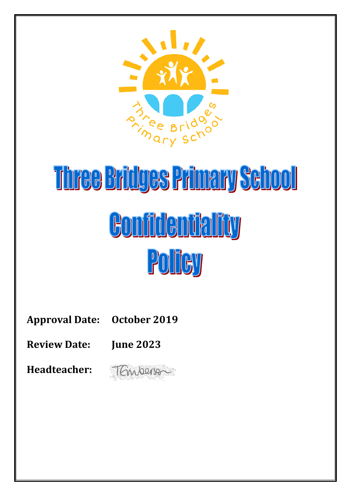

# Three Bridges Primary School Confidentiality Policy

**Approval Date: October 2019**

**Review Date: June 2023**

**Headteacher:** 

TEmperson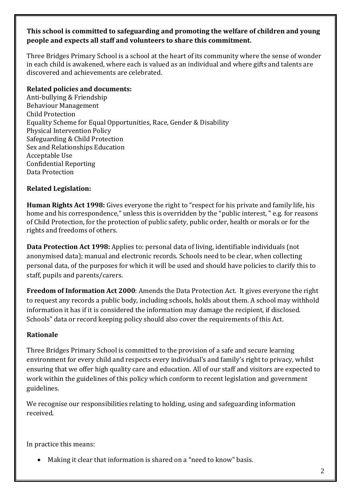# **This school is committed to safeguarding and promoting the welfare of children and young people and expects all staff and volunteers to share this commitment.**

Three Bridges Primary School is a school at the heart of its community where the sense of wonder in each child is awakened, where each is valued as an individual and where gifts and talents are discovered and achievements are celebrated.

# **Related policies and documents:**

Anti-bullying & Friendship Behaviour Management Child Protection Equality Scheme for Equal Opportunities, Race, Gender & Disability Physical Intervention Policy Safeguarding & Child Protection Sex and Relationships Education Acceptable Use Confidential Reporting Data Protection

# **Related Legislation:**

**Human Rights Act 1998:** Gives everyone the right to "respect for his private and family life, his home and his correspondence," unless this is overridden by the "public interest, "e.g. for reasons of Child Protection, for the protection of public safety, public order, health or morals or for the rights and freedoms of others.

**Data Protection Act 1998:** Applies to: personal data of living, identifiable individuals (not anonymised data); manual and electronic records. Schools need to be clear, when collecting personal data, of the purposes for which it will be used and should have policies to clarify this to staff, pupils and parents/carers.

**Freedom of Information Act 2000**: Amends the Data Protection Act. It gives everyone the right to request any records a public body, including schools, holds about them. A school may withhold information it has if it is considered the information may damage the recipient, if disclosed. Schools" data or record keeping policy should also cover the requirements of this Act.

# **Rationale**

Three Bridges Primary School is committed to the provision of a safe and secure learning environment for every child and respects every individual's and family's right to privacy, whilst ensuring that we offer high quality care and education. All of our staff and visitors are expected to work within the guidelines of this policy which conform to recent legislation and government guidelines.

We recognise our responsibilities relating to holding, using and safeguarding information received.

In practice this means:

Making it clear that information is shared on a "need to know" basis.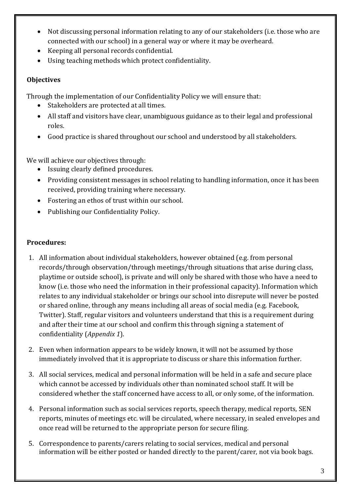- Not discussing personal information relating to any of our stakeholders (i.e. those who are connected with our school) in a general way or where it may be overheard.
- Keeping all personal records confidential.
- Using teaching methods which protect confidentiality.

# **Objectives**

Through the implementation of our Confidentiality Policy we will ensure that:

- Stakeholders are protected at all times.
- All staff and visitors have clear, unambiguous guidance as to their legal and professional roles.
- Good practice is shared throughout our school and understood by all stakeholders.

We will achieve our objectives through:

- Issuing clearly defined procedures.
- Providing consistent messages in school relating to handling information, once it has been received, providing training where necessary.
- Fostering an ethos of trust within our school.
- Publishing our Confidentiality Policy.

# **Procedures:**

- 1. All information about individual stakeholders, however obtained (e.g. from personal records/through observation/through meetings/through situations that arise during class, playtime or outside school), is private and will only be shared with those who have a need to know (i.e. those who need the information in their professional capacity). Information which relates to any individual stakeholder or brings our school into disrepute will never be posted or shared online, through any means including all areas of social media (e.g. Facebook, Twitter). Staff, regular visitors and volunteers understand that this is a requirement during and after their time at our school and confirm this through signing a statement of confidentiality (*Appendix 1*).
- 2. Even when information appears to be widely known, it will not be assumed by those immediately involved that it is appropriate to discuss or share this information further.
- 3. All social services, medical and personal information will be held in a safe and secure place which cannot be accessed by individuals other than nominated school staff. It will be considered whether the staff concerned have access to all, or only some, of the information.
- 4. Personal information such as social services reports, speech therapy, medical reports, SEN reports, minutes of meetings etc. will be circulated, where necessary, in sealed envelopes and once read will be returned to the appropriate person for secure filing.
- 5. Correspondence to parents/carers relating to social services, medical and personal information will be either posted or handed directly to the parent/carer, not via book bags.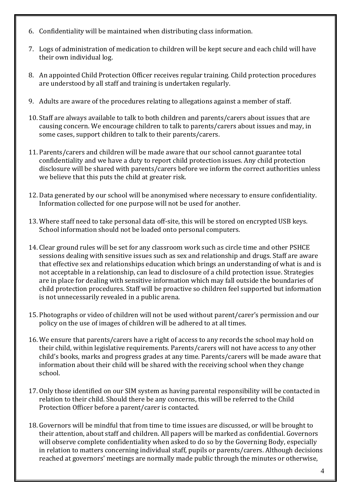- 6. Confidentiality will be maintained when distributing class information.
- 7. Logs of administration of medication to children will be kept secure and each child will have their own individual log.
- 8. An appointed Child Protection Officer receives regular training. Child protection procedures are understood by all staff and training is undertaken regularly.
- 9. Adults are aware of the procedures relating to allegations against a member of staff.
- 10. Staff are always available to talk to both children and parents/carers about issues that are causing concern. We encourage children to talk to parents/carers about issues and may, in some cases, support children to talk to their parents/carers.
- 11. Parents/carers and children will be made aware that our school cannot guarantee total confidentiality and we have a duty to report child protection issues. Any child protection disclosure will be shared with parents/carers before we inform the correct authorities unless we believe that this puts the child at greater risk.
- 12. Data generated by our school will be anonymised where necessary to ensure confidentiality. Information collected for one purpose will not be used for another.
- 13. Where staff need to take personal data off-site, this will be stored on encrypted USB keys. School information should not be loaded onto personal computers.
- 14. Clear ground rules will be set for any classroom work such as circle time and other PSHCE sessions dealing with sensitive issues such as sex and relationship and drugs. Staff are aware that effective sex and relationships education which brings an understanding of what is and is not acceptable in a relationship, can lead to disclosure of a child protection issue. Strategies are in place for dealing with sensitive information which may fall outside the boundaries of child protection procedures. Staff will be proactive so children feel supported but information is not unnecessarily revealed in a public arena.
- 15. Photographs or video of children will not be used without parent/carer's permission and our policy on the use of images of children will be adhered to at all times.
- 16. We ensure that parents/carers have a right of access to any records the school may hold on their child, within legislative requirements. Parents/carers will not have access to any other child's books, marks and progress grades at any time. Parents/carers will be made aware that information about their child will be shared with the receiving school when they change school.
- 17. Only those identified on our SIM system as having parental responsibility will be contacted in relation to their child. Should there be any concerns, this will be referred to the Child Protection Officer before a parent/carer is contacted.
- 18. Governors will be mindful that from time to time issues are discussed, or will be brought to their attention, about staff and children. All papers will be marked as confidential. Governors will observe complete confidentiality when asked to do so by the Governing Body, especially in relation to matters concerning individual staff, pupils or parents/carers. Although decisions reached at governors' meetings are normally made public through the minutes or otherwise,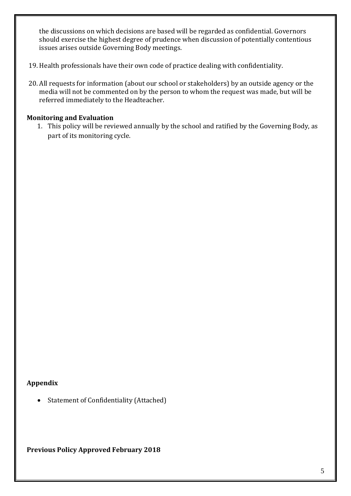the discussions on which decisions are based will be regarded as confidential. Governors should exercise the highest degree of prudence when discussion of potentially contentious issues arises outside Governing Body meetings.

- 19. Health professionals have their own code of practice dealing with confidentiality.
- 20. All requests for information (about our school or stakeholders) by an outside agency or the media will not be commented on by the person to whom the request was made, but will be referred immediately to the Headteacher.

### **Monitoring and Evaluation**

1. This policy will be reviewed annually by the school and ratified by the Governing Body, as part of its monitoring cycle.

# **Appendix**

• Statement of Confidentiality (Attached)

**Previous Policy Approved February 2018**